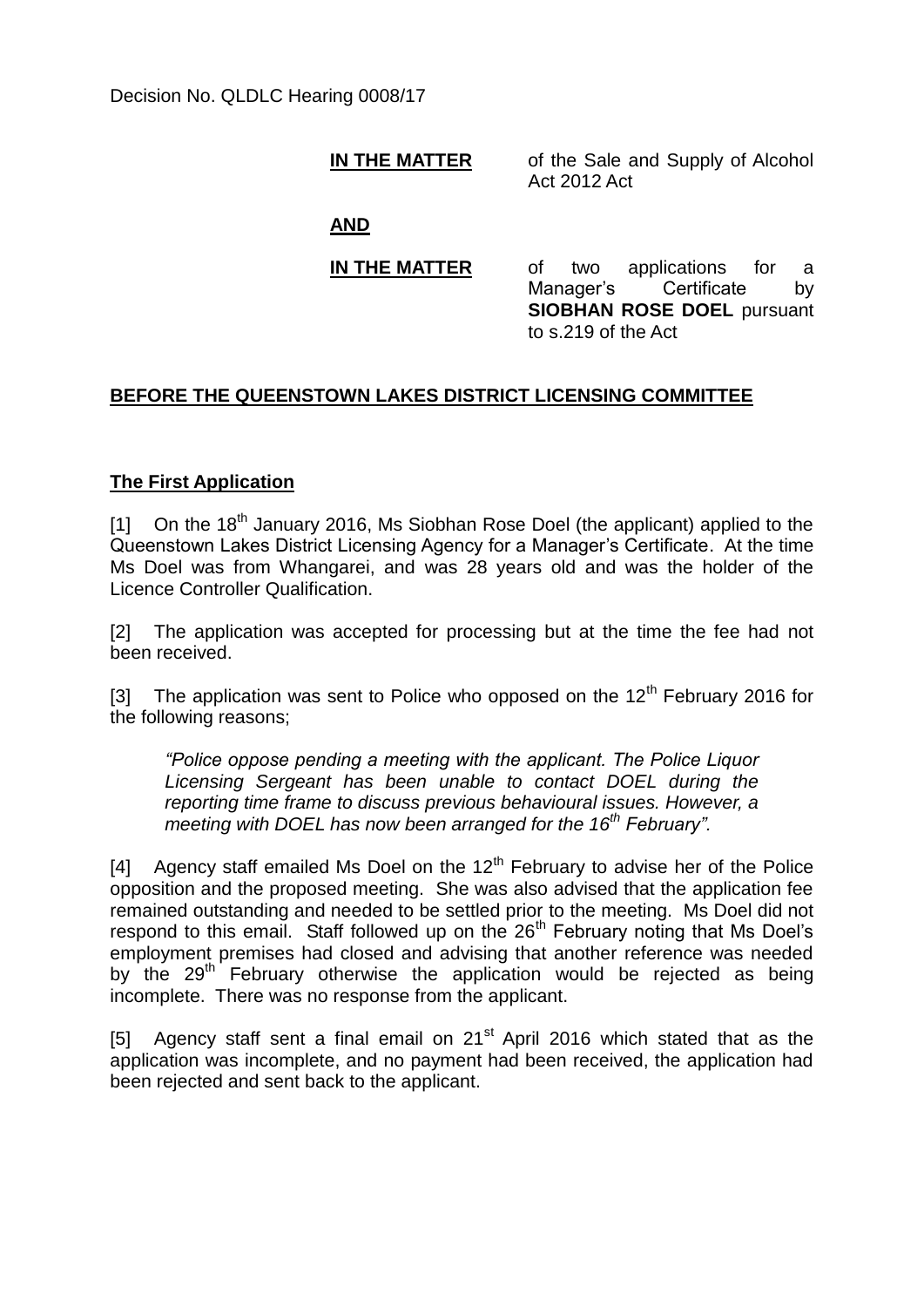Decision No. QLDLC Hearing 0008/17

#### **IN THE MATTER** of the Sale and Supply of Alcohol Act 2012 Act

**AND**

**IN THE MATTER** of two applications for a Manager's Certificate by **SIOBHAN ROSE DOEL** pursuant to s.219 of the Act

## **BEFORE THE QUEENSTOWN LAKES DISTRICT LICENSING COMMITTEE**

## **The First Application**

[1] On the 18<sup>th</sup> January 2016, Ms Siobhan Rose Doel (the applicant) applied to the Queenstown Lakes District Licensing Agency for a Manager's Certificate. At the time Ms Doel was from Whangarei, and was 28 years old and was the holder of the Licence Controller Qualification.

[2] The application was accepted for processing but at the time the fee had not been received.

[3] The application was sent to Police who opposed on the  $12<sup>th</sup>$  February 2016 for the following reasons;

*"Police oppose pending a meeting with the applicant. The Police Liquor Licensing Sergeant has been unable to contact DOEL during the reporting time frame to discuss previous behavioural issues. However, a meeting with DOEL has now been arranged for the 16th February".*

[4] Agency staff emailed Ms Doel on the  $12<sup>th</sup>$  February to advise her of the Police opposition and the proposed meeting. She was also advised that the application fee remained outstanding and needed to be settled prior to the meeting. Ms Doel did not respond to this email. Staff followed up on the  $26<sup>th</sup>$  February noting that Ms Doel's employment premises had closed and advising that another reference was needed by the 29<sup>th</sup> February otherwise the application would be rejected as being incomplete. There was no response from the applicant.

[5] Agency staff sent a final email on  $21<sup>st</sup>$  April 2016 which stated that as the application was incomplete, and no payment had been received, the application had been rejected and sent back to the applicant.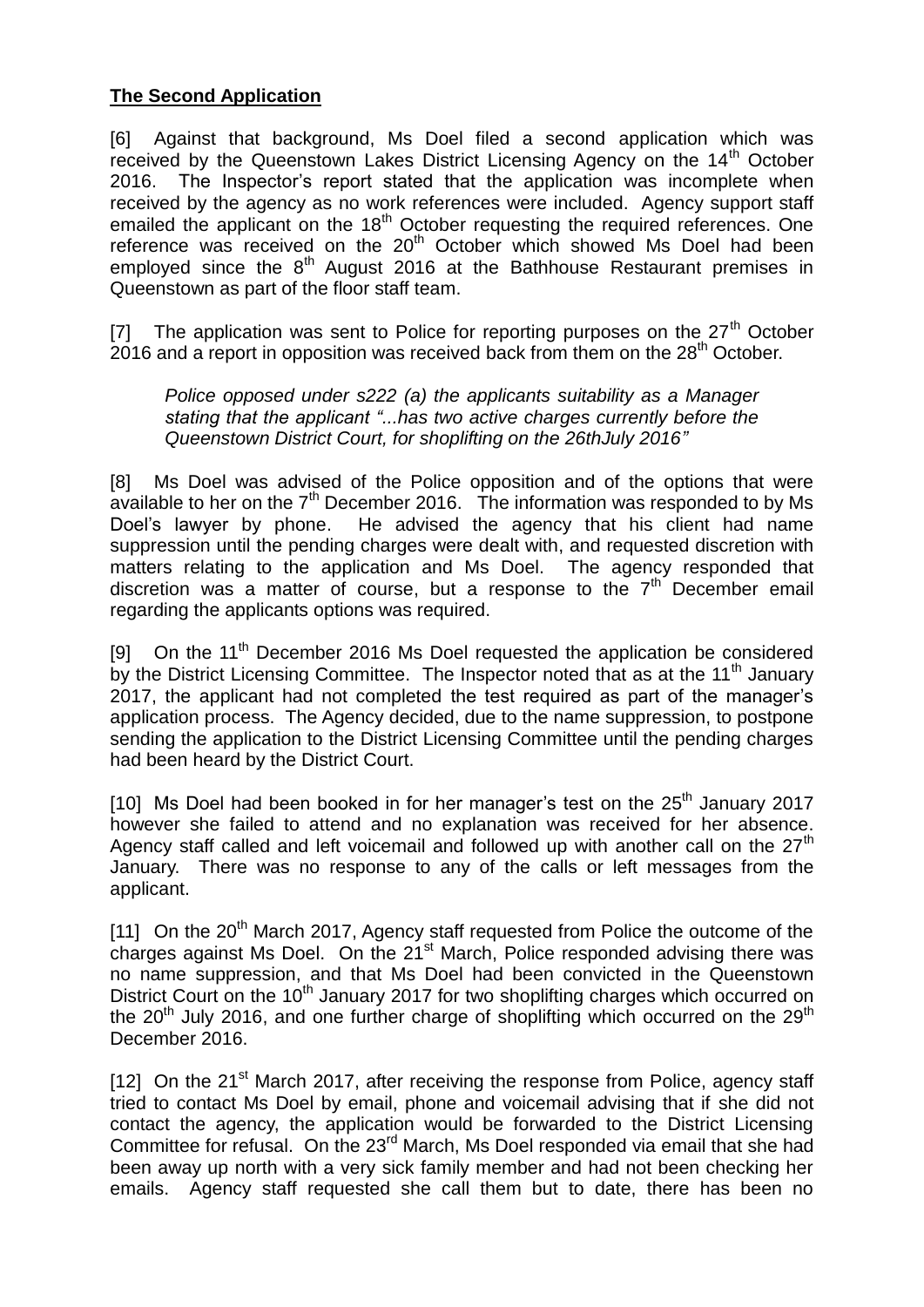## **The Second Application**

[6] Against that background, Ms Doel filed a second application which was received by the Queenstown Lakes District Licensing Agency on the 14<sup>th</sup> October 2016. The Inspector's report stated that the application was incomplete when received by the agency as no work references were included. Agency support staff emailed the applicant on the  $18<sup>th</sup>$  October requesting the required references. One reference was received on the  $20<sup>th</sup>$  October which showed Ms Doel had been employed since the  $8<sup>th</sup>$  August 2016 at the Bathhouse Restaurant premises in Queenstown as part of the floor staff team.

[7] The application was sent to Police for reporting purposes on the  $27<sup>th</sup>$  October 2016 and a report in opposition was received back from them on the  $28<sup>th</sup>$  October.

*Police opposed under s222 (a) the applicants suitability as a Manager stating that the applicant "...has two active charges currently before the Queenstown District Court, for shoplifting on the 26thJuly 2016"* 

[8] Ms Doel was advised of the Police opposition and of the options that were available to her on the  $7<sup>th</sup>$  December 2016. The information was responded to by Ms Doel's lawyer by phone. He advised the agency that his client had name suppression until the pending charges were dealt with, and requested discretion with matters relating to the application and Ms Doel. The agency responded that discretion was a matter of course, but a response to the  $7<sup>th</sup>$  December email regarding the applicants options was required.

[9] On the 11<sup>th</sup> December 2016 Ms Doel requested the application be considered by the District Licensing Committee. The Inspector noted that as at the 11<sup>th</sup> January 2017, the applicant had not completed the test required as part of the manager's application process. The Agency decided, due to the name suppression, to postpone sending the application to the District Licensing Committee until the pending charges had been heard by the District Court.

[10] Ms Doel had been booked in for her manager's test on the  $25<sup>th</sup>$  January 2017 however she failed to attend and no explanation was received for her absence. Agency staff called and left voicemail and followed up with another call on the  $27<sup>th</sup>$ January. There was no response to any of the calls or left messages from the applicant.

[11] On the 20<sup>th</sup> March 2017, Agency staff requested from Police the outcome of the charges against Ms Doel. On the  $21<sup>st</sup>$  March. Police responded advising there was no name suppression, and that Ms Doel had been convicted in the Queenstown District Court on the 10<sup>th</sup> January 2017 for two shoplifting charges which occurred on the  $20<sup>th</sup>$  July 2016, and one further charge of shoplifting which occurred on the  $29<sup>th</sup>$ December 2016.

[12] On the  $21<sup>st</sup>$  March 2017, after receiving the response from Police, agency staff tried to contact Ms Doel by email, phone and voicemail advising that if she did not contact the agency, the application would be forwarded to the District Licensing Committee for refusal. On the 23<sup>rd</sup> March, Ms Doel responded via email that she had been away up north with a very sick family member and had not been checking her emails. Agency staff requested she call them but to date, there has been no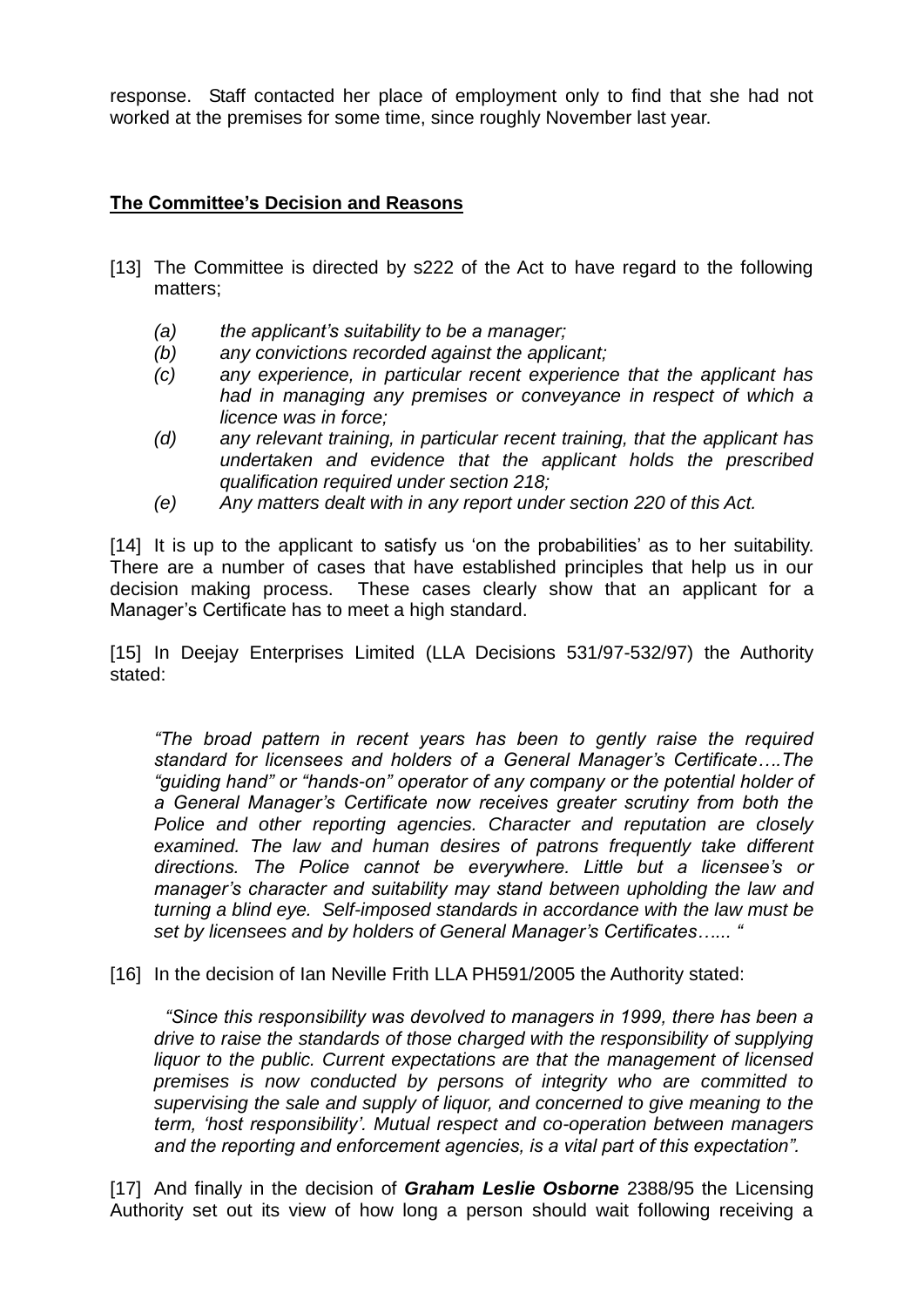response. Staff contacted her place of employment only to find that she had not worked at the premises for some time, since roughly November last year.

# **The Committee's Decision and Reasons**

- [13] The Committee is directed by s222 of the Act to have regard to the following matters;
	- *(a) the applicant's suitability to be a manager;*
	- *(b) any convictions recorded against the applicant;*
	- *(c) any experience, in particular recent experience that the applicant has had in managing any premises or conveyance in respect of which a licence was in force;*
	- *(d) any relevant training, in particular recent training, that the applicant has undertaken and evidence that the applicant holds the prescribed qualification required under section 218;*
	- *(e) Any matters dealt with in any report under section 220 of this Act.*

[14] It is up to the applicant to satisfy us 'on the probabilities' as to her suitability. There are a number of cases that have established principles that help us in our decision making process. These cases clearly show that an applicant for a Manager's Certificate has to meet a high standard.

[15] In Deejay Enterprises Limited (LLA Decisions 531/97-532/97) the Authority stated:

*"The broad pattern in recent years has been to gently raise the required standard for licensees and holders of a General Manager's Certificate….The "guiding hand" or "hands-on" operator of any company or the potential holder of a General Manager's Certificate now receives greater scrutiny from both the Police and other reporting agencies. Character and reputation are closely examined. The law and human desires of patrons frequently take different directions. The Police cannot be everywhere. Little but a licensee's or manager's character and suitability may stand between upholding the law and turning a blind eye. Self-imposed standards in accordance with the law must be set by licensees and by holders of General Manager's Certificates…... "*

[16] In the decision of Ian Neville Frith LLA PH591/2005 the Authority stated:

*"Since this responsibility was devolved to managers in 1999, there has been a drive to raise the standards of those charged with the responsibility of supplying liquor to the public. Current expectations are that the management of licensed premises is now conducted by persons of integrity who are committed to supervising the sale and supply of liquor, and concerned to give meaning to the term, 'host responsibility'. Mutual respect and co-operation between managers and the reporting and enforcement agencies, is a vital part of this expectation".*

[17] And finally in the decision of *Graham Leslie Osborne* 2388/95 the Licensing Authority set out its view of how long a person should wait following receiving a